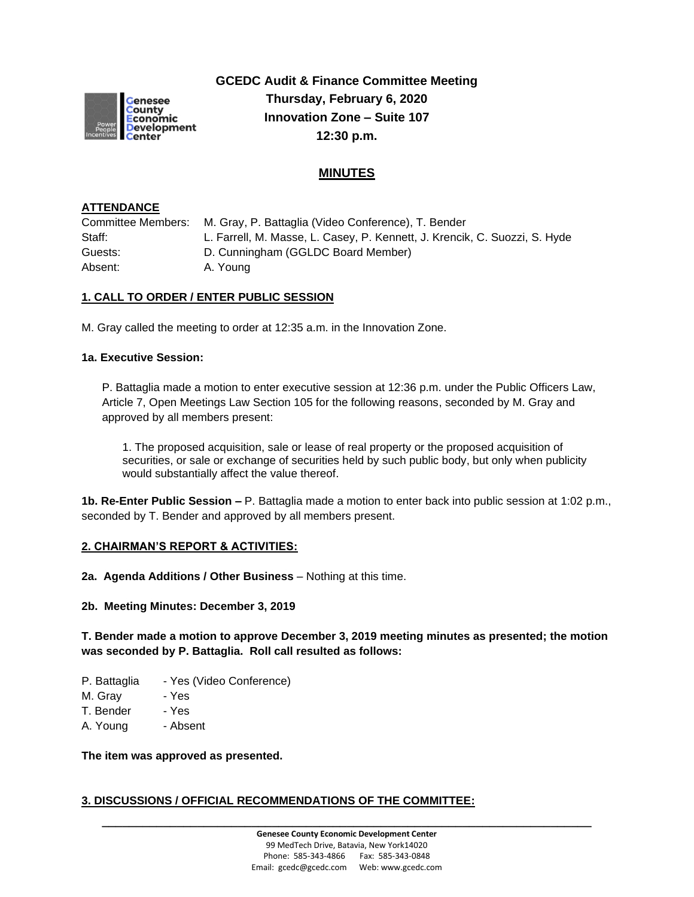

**GCEDC Audit & Finance Committee Meeting Thursday, February 6, 2020 Innovation Zone – Suite 107 12:30 p.m.**

# **MINUTES**

#### **ATTENDANCE**

Committee Members: M. Gray, P. Battaglia (Video Conference), T. Bender Staff: L. Farrell, M. Masse, L. Casey, P. Kennett, J. Krencik, C. Suozzi, S. Hyde Guests: D. Cunningham (GGLDC Board Member) Absent: A. Young

## **1. CALL TO ORDER / ENTER PUBLIC SESSION**

M. Gray called the meeting to order at 12:35 a.m. in the Innovation Zone.

#### **1a. Executive Session:**

P. Battaglia made a motion to enter executive session at 12:36 p.m. under the Public Officers Law, Article 7, Open Meetings Law Section 105 for the following reasons, seconded by M. Gray and approved by all members present:

1. The proposed acquisition, sale or lease of real property or the proposed acquisition of securities, or sale or exchange of securities held by such public body, but only when publicity would substantially affect the value thereof.

**1b. Re-Enter Public Session –** P. Battaglia made a motion to enter back into public session at 1:02 p.m., seconded by T. Bender and approved by all members present.

#### **2. CHAIRMAN'S REPORT & ACTIVITIES:**

**2a. Agenda Additions / Other Business** – Nothing at this time.

#### **2b. Meeting Minutes: December 3, 2019**

#### **T. Bender made a motion to approve December 3, 2019 meeting minutes as presented; the motion was seconded by P. Battaglia. Roll call resulted as follows:**

- P. Battaglia Yes (Video Conference)
- M. Gray Yes
- T. Bender Yes
- A. Young Absent

**The item was approved as presented.**

## **3. DISCUSSIONS / OFFICIAL RECOMMENDATIONS OF THE COMMITTEE:**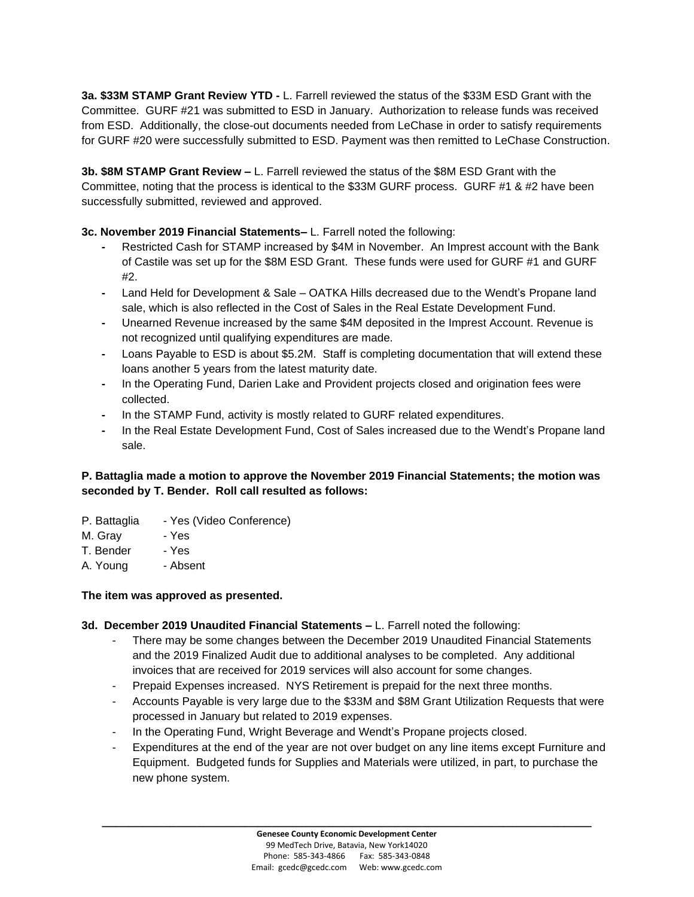**3a. \$33M STAMP Grant Review YTD -** L. Farrell reviewed the status of the \$33M ESD Grant with the Committee. GURF #21 was submitted to ESD in January. Authorization to release funds was received from ESD. Additionally, the close-out documents needed from LeChase in order to satisfy requirements for GURF #20 were successfully submitted to ESD. Payment was then remitted to LeChase Construction.

**3b. \$8M STAMP Grant Review –** L. Farrell reviewed the status of the \$8M ESD Grant with the Committee, noting that the process is identical to the \$33M GURF process. GURF #1 & #2 have been successfully submitted, reviewed and approved.

**3c. November 2019 Financial Statements–** L. Farrell noted the following:

- **-** Restricted Cash for STAMP increased by \$4M in November. An Imprest account with the Bank of Castile was set up for the \$8M ESD Grant. These funds were used for GURF #1 and GURF #2.
- **-** Land Held for Development & Sale OATKA Hills decreased due to the Wendt's Propane land sale, which is also reflected in the Cost of Sales in the Real Estate Development Fund.
- **-** Unearned Revenue increased by the same \$4M deposited in the Imprest Account. Revenue is not recognized until qualifying expenditures are made.
- **-** Loans Payable to ESD is about \$5.2M. Staff is completing documentation that will extend these loans another 5 years from the latest maturity date.
- **-** In the Operating Fund, Darien Lake and Provident projects closed and origination fees were collected.
- **-** In the STAMP Fund, activity is mostly related to GURF related expenditures.
- **-** In the Real Estate Development Fund, Cost of Sales increased due to the Wendt's Propane land sale.

## **P. Battaglia made a motion to approve the November 2019 Financial Statements; the motion was seconded by T. Bender. Roll call resulted as follows:**

- P. Battaglia Yes (Video Conference)
- M. Gray Yes
- T. Bender Yes
- A. Young Absent

## **The item was approved as presented.**

#### **3d. December 2019 Unaudited Financial Statements –** L. Farrell noted the following:

- There may be some changes between the December 2019 Unaudited Financial Statements and the 2019 Finalized Audit due to additional analyses to be completed. Any additional invoices that are received for 2019 services will also account for some changes.
- Prepaid Expenses increased. NYS Retirement is prepaid for the next three months.
- Accounts Payable is very large due to the \$33M and \$8M Grant Utilization Requests that were processed in January but related to 2019 expenses.
- In the Operating Fund, Wright Beverage and Wendt's Propane projects closed.
- Expenditures at the end of the year are not over budget on any line items except Furniture and Equipment. Budgeted funds for Supplies and Materials were utilized, in part, to purchase the new phone system.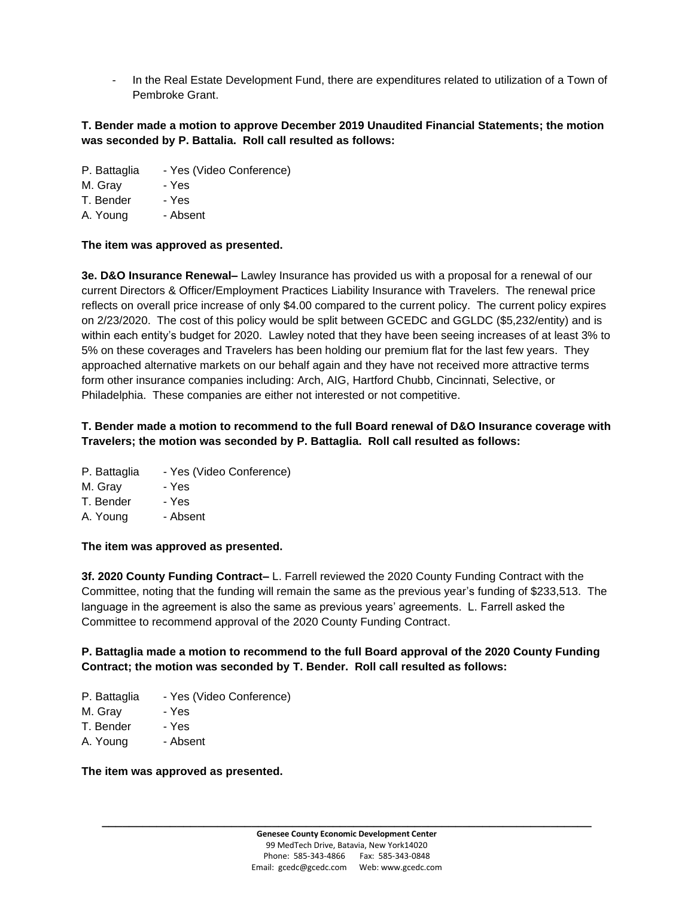- In the Real Estate Development Fund, there are expenditures related to utilization of a Town of Pembroke Grant.

#### **T. Bender made a motion to approve December 2019 Unaudited Financial Statements; the motion was seconded by P. Battalia. Roll call resulted as follows:**

P. Battaglia - Yes (Video Conference)

M. Gray - Yes

T. Bender - Yes

A. Young - Absent

#### **The item was approved as presented.**

**3e. D&O Insurance Renewal–** Lawley Insurance has provided us with a proposal for a renewal of our current Directors & Officer/Employment Practices Liability Insurance with Travelers. The renewal price reflects on overall price increase of only \$4.00 compared to the current policy. The current policy expires on 2/23/2020. The cost of this policy would be split between GCEDC and GGLDC (\$5,232/entity) and is within each entity's budget for 2020. Lawley noted that they have been seeing increases of at least 3% to 5% on these coverages and Travelers has been holding our premium flat for the last few years. They approached alternative markets on our behalf again and they have not received more attractive terms form other insurance companies including: Arch, AIG, Hartford Chubb, Cincinnati, Selective, or Philadelphia. These companies are either not interested or not competitive.

## **T. Bender made a motion to recommend to the full Board renewal of D&O Insurance coverage with Travelers; the motion was seconded by P. Battaglia. Roll call resulted as follows:**

- P. Battaglia Yes (Video Conference)
- M. Gray Yes
- T. Bender Yes
- A. Young Absent

#### **The item was approved as presented.**

**3f. 2020 County Funding Contract–** L. Farrell reviewed the 2020 County Funding Contract with the Committee, noting that the funding will remain the same as the previous year's funding of \$233,513. The language in the agreement is also the same as previous years' agreements. L. Farrell asked the Committee to recommend approval of the 2020 County Funding Contract.

## **P. Battaglia made a motion to recommend to the full Board approval of the 2020 County Funding Contract; the motion was seconded by T. Bender. Roll call resulted as follows:**

- P. Battaglia Yes (Video Conference)
- M. Gray Yes
- T. Bender Yes
- A. Young Absent

#### **The item was approved as presented.**